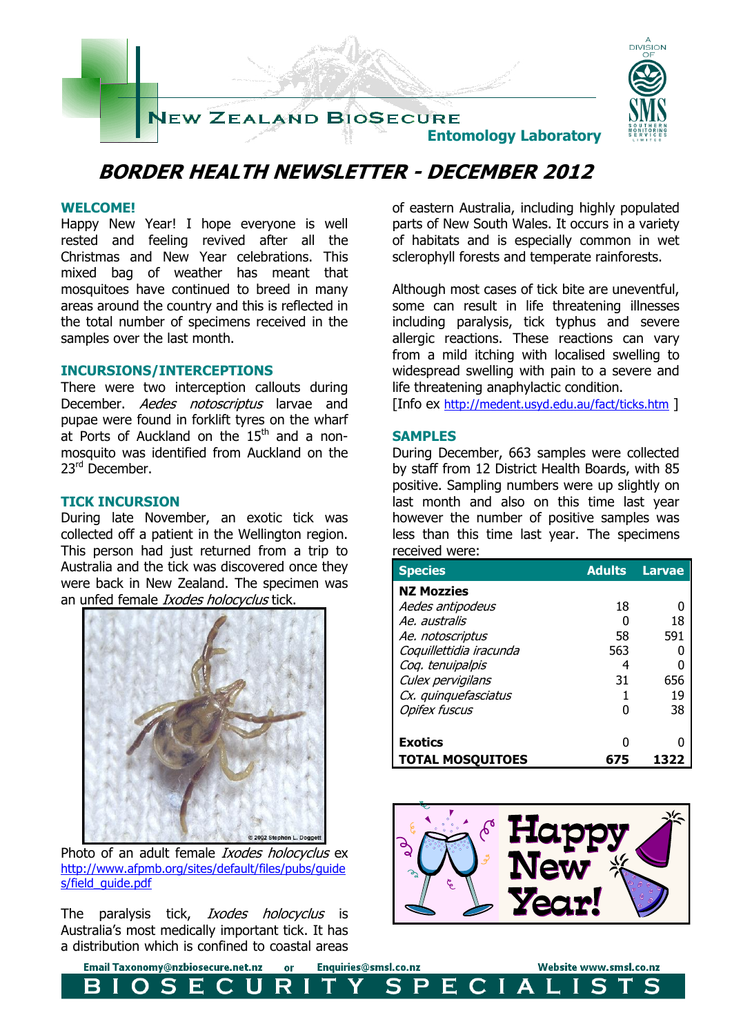

### **BORDER HEALTH NEWSLETTER - DECEMBER 2012**

#### **WELCOME!**

Happy New Year! I hope everyone is well rested and feeling revived after all the Christmas and New Year celebrations. This mixed bag of weather has meant that mosquitoes have continued to breed in many areas around the country and this is reflected in the total number of specimens received in the samples over the last month.

#### **INCURSIONS/INTERCEPTIONS**

There were two interception callouts during December. Aedes notoscriptus larvae and pupae were found in forklift tyres on the wharf at Ports of Auckland on the  $15<sup>th</sup>$  and a nonmosquito was identified from Auckland on the 23rd December.

#### **TICK INCURSION**

During late November, an exotic tick was collected off a patient in the Wellington region. This person had just returned from a trip to Australia and the tick was discovered once they were back in New Zealand. The specimen was an unfed female *Ixodes holocyclus* tick.



Photo of an adult female Ixodes holocyclus ex [http://www.afpmb.org/sites/default/files/pubs/guide](http://www.afpmb.org/sites/default/files/pubs/guides/field_guide.pdf) s/field\_quide.pdf

The paralysis tick, *Ixodes holocyclus* is Australia's most medically important tick. It has a distribution which is confined to coastal areas

F

Email Taxonomy@nzbiosecure.net.nz

of eastern Australia, including highly populated parts of New South Wales. It occurs in a variety of habitats and is especially common in wet sclerophyll forests and temperate rainforests.

Although most cases of tick bite are uneventful, some can result in life threatening illnesses including paralysis, tick typhus and severe allergic reactions. These reactions can vary from a mild itching with localised swelling to widespread swelling with pain to a severe and life threatening anaphylactic condition.

[Info ex <http://medent.usyd.edu.au/fact/ticks.htm> ]

#### **SAMPLES**

Enquiries@smsl.co.nz

S

P

or

R

H

During December, 663 samples were collected by staff from 12 District Health Boards, with 85 positive. Sampling numbers were up slightly on last month and also on this time last year however the number of positive samples was less than this time last year. The specimens received were:

| <b>Species</b>          | <b>Adults</b> | <b>Larvae</b> |
|-------------------------|---------------|---------------|
| <b>NZ Mozzies</b>       |               |               |
| Aedes antipodeus        | 18            |               |
| Ae australis            |               | 18            |
| Ae. notoscriptus        | 58            | 591           |
| Coquillettidia iracunda | 563           |               |
| Coq. tenuipalpis        | 4             |               |
| Culex pervigilans       | 31            | 656           |
| Cx. quinquefasciatus    |               | 19            |
| <b>Opifex fuscus</b>    |               | 38            |
|                         |               |               |
| <b>Exotics</b>          | Ω             |               |
| <b>TOTAL MOSQUITOES</b> | 675           | 1322          |



 $\mathbf C$ 

Ш **A** 

Е.

Website www.smsl.co.nz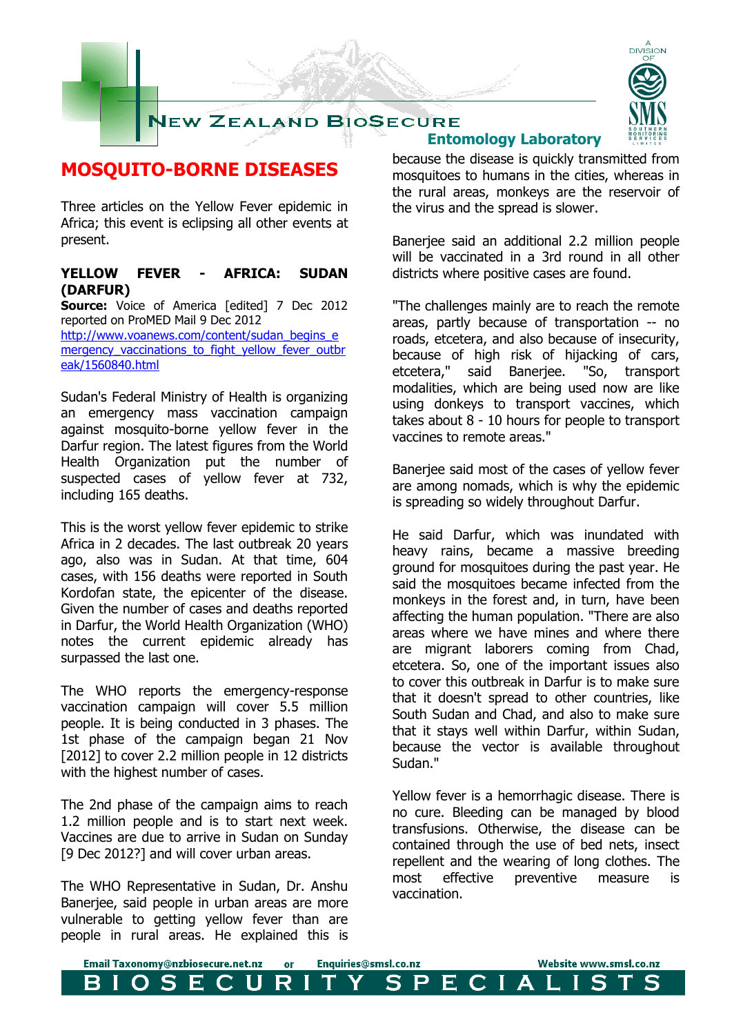



### **MOSQUITO-BORNE DISEASES**

Three articles on the Yellow Fever epidemic in Africa; this event is eclipsing all other events at present.

### **YELLOW FEVER - AFRICA: SUDAN (DARFUR)**

**Source:** Voice of America [edited] 7 Dec 2012 reported on ProMED Mail 9 Dec 2012 [http://www.voanews.com/content/sudan\\_begins\\_e](http://www.voanews.com/content/sudan_begins_emergency_vaccinations_to_fight_yellow_fever_outbreak/1560840.html) [mergency\\_vaccinations\\_to\\_fight\\_yellow\\_fever\\_outbr](http://www.voanews.com/content/sudan_begins_emergency_vaccinations_to_fight_yellow_fever_outbreak/1560840.html) [eak/1560840.html](http://www.voanews.com/content/sudan_begins_emergency_vaccinations_to_fight_yellow_fever_outbreak/1560840.html)

Sudan's Federal Ministry of Health is organizing an emergency mass vaccination campaign against mosquito-borne yellow fever in the Darfur region. The latest figures from the World Health Organization put the number of suspected cases of yellow fever at 732, including 165 deaths.

This is the worst yellow fever epidemic to strike Africa in 2 decades. The last outbreak 20 years ago, also was in Sudan. At that time, 604 cases, with 156 deaths were reported in South Kordofan state, the epicenter of the disease. Given the number of cases and deaths reported in Darfur, the World Health Organization (WHO) notes the current epidemic already has surpassed the last one.

The WHO reports the emergency-response vaccination campaign will cover 5.5 million people. It is being conducted in 3 phases. The 1st phase of the campaign began 21 Nov [2012] to cover 2.2 million people in 12 districts with the highest number of cases.

The 2nd phase of the campaign aims to reach 1.2 million people and is to start next week. Vaccines are due to arrive in Sudan on Sunday [9 Dec 2012?] and will cover urban areas.

The WHO Representative in Sudan, Dr. Anshu Banerjee, said people in urban areas are more vulnerable to getting yellow fever than are people in rural areas. He explained this is

## **Entomology Laboratory**

because the disease is quickly transmitted from mosquitoes to humans in the cities, whereas in the rural areas, monkeys are the reservoir of the virus and the spread is slower.

Banerjee said an additional 2.2 million people will be vaccinated in a 3rd round in all other districts where positive cases are found.

"The challenges mainly are to reach the remote areas, partly because of transportation -- no roads, etcetera, and also because of insecurity, because of high risk of hijacking of cars, etcetera," said Banerjee. "So, transport modalities, which are being used now are like using donkeys to transport vaccines, which takes about 8 - 10 hours for people to transport vaccines to remote areas."

Banerjee said most of the cases of yellow fever are among nomads, which is why the epidemic is spreading so widely throughout Darfur.

He said Darfur, which was inundated with heavy rains, became a massive breeding ground for mosquitoes during the past year. He said the mosquitoes became infected from the monkeys in the forest and, in turn, have been affecting the human population. "There are also areas where we have mines and where there are migrant laborers coming from Chad, etcetera. So, one of the important issues also to cover this outbreak in Darfur is to make sure that it doesn't spread to other countries, like South Sudan and Chad, and also to make sure that it stays well within Darfur, within Sudan, because the vector is available throughout Sudan."

Yellow fever is a hemorrhagic disease. There is no cure. Bleeding can be managed by blood transfusions. Otherwise, the disease can be contained through the use of bed nets, insect repellent and the wearing of long clothes. The most effective preventive measure is vaccination.

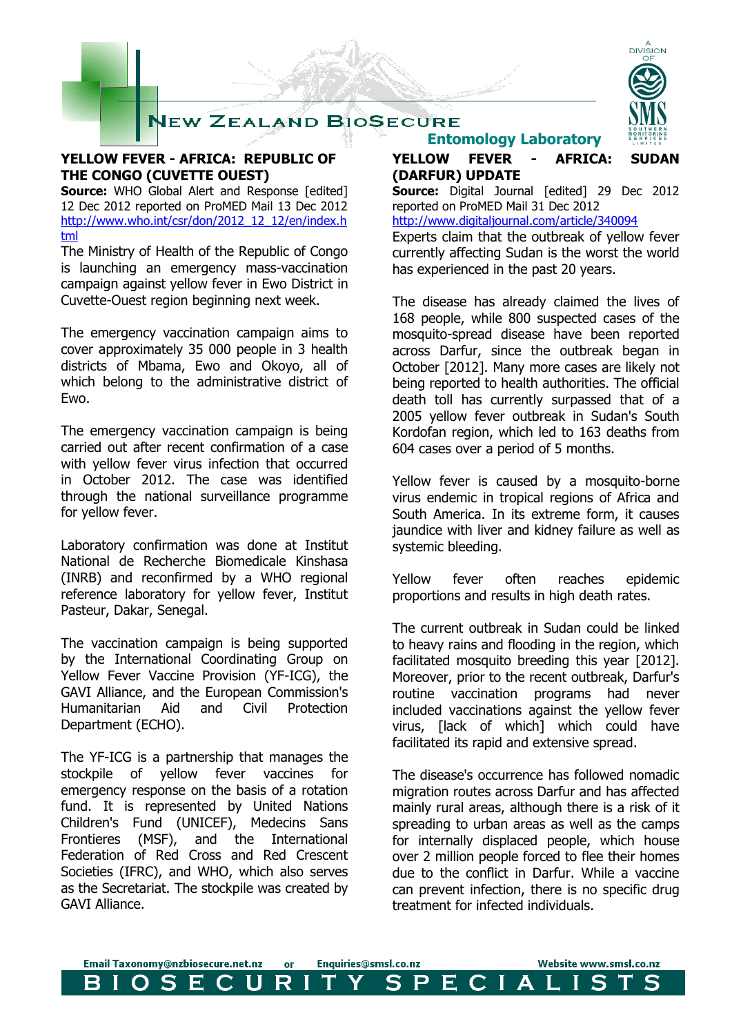

### **YELLOW FEVER - AFRICA: REPUBLIC OF THE CONGO (CUVETTE OUEST)**

**Source:** WHO Global Alert and Response [edited] 12 Dec 2012 reported on ProMED Mail 13 Dec 2012 [http://www.who.int/csr/don/2012\\_12\\_12/en/index.h](http://www.who.int/csr/don/2012_12_12/en/index.html) [tml](http://www.who.int/csr/don/2012_12_12/en/index.html)

The Ministry of Health of the Republic of Congo is launching an emergency mass-vaccination campaign against yellow fever in Ewo District in Cuvette-Ouest region beginning next week.

The emergency vaccination campaign aims to cover approximately 35 000 people in 3 health districts of Mbama, Ewo and Okoyo, all of which belong to the administrative district of Ewo.

The emergency vaccination campaign is being carried out after recent confirmation of a case with yellow fever virus infection that occurred in October 2012. The case was identified through the national surveillance programme for yellow fever.

Laboratory confirmation was done at Institut National de Recherche Biomedicale Kinshasa (INRB) and reconfirmed by a WHO regional reference laboratory for yellow fever, Institut Pasteur, Dakar, Senegal.

The vaccination campaign is being supported by the International Coordinating Group on Yellow Fever Vaccine Provision (YF-ICG), the GAVI Alliance, and the European Commission's Humanitarian Aid and Civil Protection Department (ECHO).

The YF-ICG is a partnership that manages the stockpile of yellow fever vaccines for emergency response on the basis of a rotation fund. It is represented by United Nations Children's Fund (UNICEF), Medecins Sans Frontieres (MSF), and the International Federation of Red Cross and Red Crescent Societies (IFRC), and WHO, which also serves as the Secretariat. The stockpile was created by GAVI Alliance.



## **Entomology Laboratory**

**YELLOW FEVER - AFRICA: SUDAN (DARFUR) UPDATE**

**Source:** Digital Journal [edited] 29 Dec 2012 reported on ProMED Mail 31 Dec 2012

<http://www.digitaljournal.com/article/340094>

Experts claim that the outbreak of yellow fever currently affecting Sudan is the worst the world has experienced in the past 20 years.

The disease has already claimed the lives of 168 people, while 800 suspected cases of the mosquito-spread disease have been reported across Darfur, since the outbreak began in October [2012]. Many more cases are likely not being reported to health authorities. The official death toll has currently surpassed that of a 2005 yellow fever outbreak in Sudan's South Kordofan region, which led to 163 deaths from 604 cases over a period of 5 months.

Yellow fever is caused by a mosquito-borne virus endemic in tropical regions of Africa and South America. In its extreme form, it causes jaundice with liver and kidney failure as well as systemic bleeding.

Yellow fever often reaches epidemic proportions and results in high death rates.

The current outbreak in Sudan could be linked to heavy rains and flooding in the region, which facilitated mosquito breeding this year [2012]. Moreover, prior to the recent outbreak, Darfur's routine vaccination programs had never included vaccinations against the yellow fever virus, [lack of which] which could have facilitated its rapid and extensive spread.

The disease's occurrence has followed nomadic migration routes across Darfur and has affected mainly rural areas, although there is a risk of it spreading to urban areas as well as the camps for internally displaced people, which house over 2 million people forced to flee their homes due to the conflict in Darfur. While a vaccine can prevent infection, there is no specific drug treatment for infected individuals.